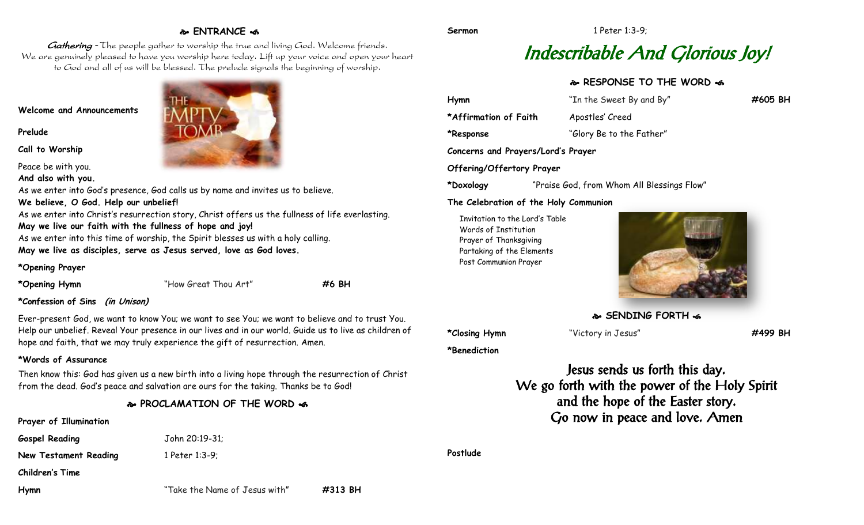# **ENTRANCE**

Gathering - The people gather to worship the true and living God. Welcome friends. We are genuinely pleased to have you worship here today. Lift up your voice and open your heart to God and all of us will be blessed. The prelude signals the beginning of worship.

## **Welcome and Announcements**

**Prelude**

**Call to Worship**

Peace be with you.

**And also with you.**

As we enter into God's presence, God calls us by name and invites us to believe. **We believe, O God. Help our unbelief!** As we enter into Christ's resurrection story, Christ offers us the fullness of life everlasting. **May we live our faith with the fullness of hope and joy!** As we enter into this time of worship, the Spirit blesses us with a holy calling.

**May we live as disciples, serve as Jesus served, love as God loves.**

## **\*Opening Prayer**

**\*Opening Hymn** "How Great Thou Art" **#6 BH**

## **\*Confession of Sins (in Unison)**

Ever-present God, we want to know You; we want to see You; we want to believe and to trust You. Help our unbelief. Reveal Your presence in our lives and in our world. Guide us to live as children of hope and faith, that we may truly experience the gift of resurrection. Amen.

# **\*Words of Assurance**

Then know this: God has given us a new birth into a living hope through the resurrection of Christ from the dead. God's peace and salvation are ours for the taking. Thanks be to God!

# **PROCLAMATION OF THE WORD**

# **Prayer of Illumination**

**Gospel Reading** John 20:19-31;

**New Testament Reading** 1 Peter 1:3-9;

**Children's Time**

| MP<br><b>OMB</b> |  |
|------------------|--|
|                  |  |
|                  |  |

# Indescribable And Glorious Joy!

# **RESPONSE TO THE WORD**

| Hymn                               | "In the Sweet By and By" | #605 BH |
|------------------------------------|--------------------------|---------|
| *Affirmation of Faith              | Apostles' Creed          |         |
| *Response                          | "Glory Be to the Father" |         |
| Concerns and Prayers/Lord's Prayer |                          |         |
| Offering/Offertory Prayer          |                          |         |

**\*Doxology** "Praise God, from Whom All Blessings Flow"

## **The Celebration of the Holy Communion**

Invitation to the Lord's Table Words of Institution Prayer of Thanksgiving Partaking of the Elements Post Communion Prayer



**SENDING FORTH of** 

**\*Closing Hymn** "Victory in Jesus" **#499 BH**

**\*Benediction**

Jesus sends us forth this day. We go forth with the power of the Holy Spirit and the hope of the Easter story. Go now in peace and love. Amen

**Postlude**

**Hymn** "Take the Name of Jesus with" **#313 BH**

**Sermon** 1 Peter 1:3-9: